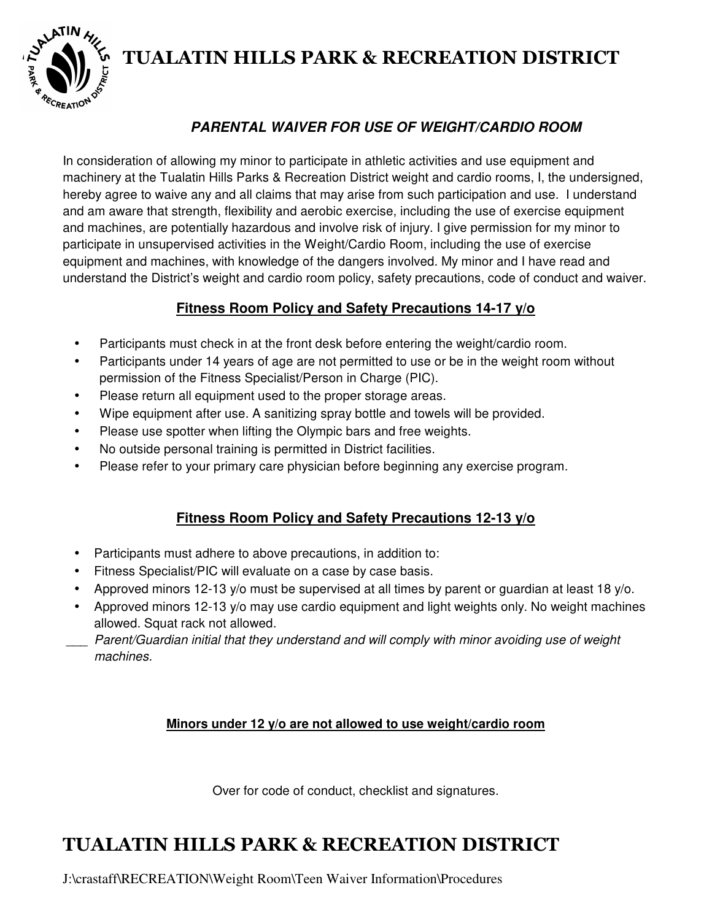

# **TUALATIN HILLS PARK & RECREATION DISTRICT**

## **PARENTAL WAIVER FOR USE OF WEIGHT/CARDIO ROOM**

In consideration of allowing my minor to participate in athletic activities and use equipment and machinery at the Tualatin Hills Parks & Recreation District weight and cardio rooms, I, the undersigned, hereby agree to waive any and all claims that may arise from such participation and use. I understand and am aware that strength, flexibility and aerobic exercise, including the use of exercise equipment and machines, are potentially hazardous and involve risk of injury. I give permission for my minor to participate in unsupervised activities in the Weight/Cardio Room, including the use of exercise equipment and machines, with knowledge of the dangers involved. My minor and I have read and understand the District's weight and cardio room policy, safety precautions, code of conduct and waiver.

#### **Fitness Room Policy and Safety Precautions 14-17 y/o**

- Participants must check in at the front desk before entering the weight/cardio room.
- Participants under 14 years of age are not permitted to use or be in the weight room without permission of the Fitness Specialist/Person in Charge (PIC).
- Please return all equipment used to the proper storage areas.
- Wipe equipment after use. A sanitizing spray bottle and towels will be provided.
- Please use spotter when lifting the Olympic bars and free weights.
- No outside personal training is permitted in District facilities.
- Please refer to your primary care physician before beginning any exercise program.

### **Fitness Room Policy and Safety Precautions 12-13 y/o**

- Participants must adhere to above precautions, in addition to:
- Fitness Specialist/PIC will evaluate on a case by case basis.
- Approved minors 12-13 y/o must be supervised at all times by parent or guardian at least 18 y/o.
- Approved minors 12-13 y/o may use cardio equipment and light weights only. No weight machines allowed. Squat rack not allowed.
- Parent/Guardian initial that they understand and will comply with minor avoiding use of weight machines.

#### **Minors under 12 y/o are not allowed to use weight/cardio room**

Over for code of conduct, checklist and signatures.

# **TUALATIN HILLS PARK & RECREATION DISTRICT**

J:\crastaff\RECREATION\Weight Room\Teen Waiver Information\Procedures